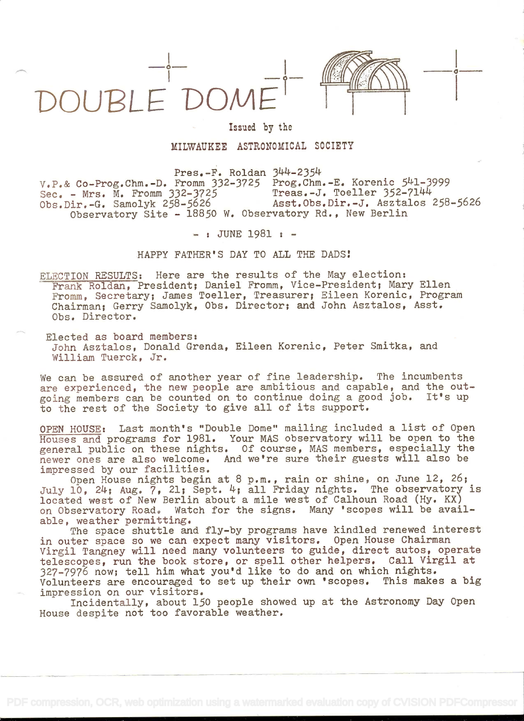



## Issued by the

MILWAUKEE ASTRONOMICAL SOCIETY

Pres.-F. Roldan 344-2354  $V.P.$ & Co-Prog.Chm.-D. Fromm 332-3725 Prog.Chm.-E. Korenic  $541-3999$ <br>Sec. - Mrs. M. Fromm 332-3725 Treas.-J. Toeller 352-7144 Sec. - Mrs. M. Fromm 332-3725<br>Obs.Dir.-G. Samolyk 258-5626 Asst.Obs.Dir.-J. Asztalos 258-5626 Observatory Site - 18850 W. Observatory Rd., New Berlin

- : JUNE 1981 : -

HAPPY FATHER'S DAY TO ALL THE DADS

ELECTION RESULTS: Here are the results of the May election: Frank Roldan, President; Daniel Fromm, Vice-President; Mary Ellen Fromm, Secretary; James Toeller, Treasurer; Eileen Korenic, Program Chairman; Gerry Samolyk, Obs. Director; and John Asztalos, Asst. Obs. Director.

Elected as board members: John Asztalos, Donald Grenda, Eileen Korenic, Peter Smitka, and William Tuerck, Jr.

We can be assured of another year of fine leadership. The incumbents are experienced, the new people are ambitious and capable, and the outgoing members can be counted on to continue doing a good job. It's up to the rest of the Society to give all of its support.

OPEN HOUSE: Last month's "Double Dome" mailing included a list of Open Houses and programs for 1981. Your MAS observatory will be open to the general public on these nights. Of course, MAS members, especially the newer ones are also welcome. And we're sure their guests will also be impressed by our facilities.

Open House nights begin at 8 p.m., rain or shine, on June 12, 26; July 10, 24; Aug. 7, 21; Sept. 4; all Friday nights. The observatory is located west of New Berlin about a mile west of Calhoun Road (Hy. KX) on Observatory Road. Watch for the signs. Many 'scopes will be available, weather permitting.

The space shuttle and fly-by programs have kindled renewed interest in outer space so we can expect many visitors. Open House Chairman Virgil Tangney will need many volunteers to guide, direct autos, operate telescopes, run the book store, or spell other helpers. Call Virgil at 327-7976 now; tell him what you'd like to do and on which nights. Volunteers are encouraged to set up their own 'scopes. This makes a big impression on our visitors.

Incidentally, about 150 people showed up at the Astronomy Day Open House despite not too favorable weather.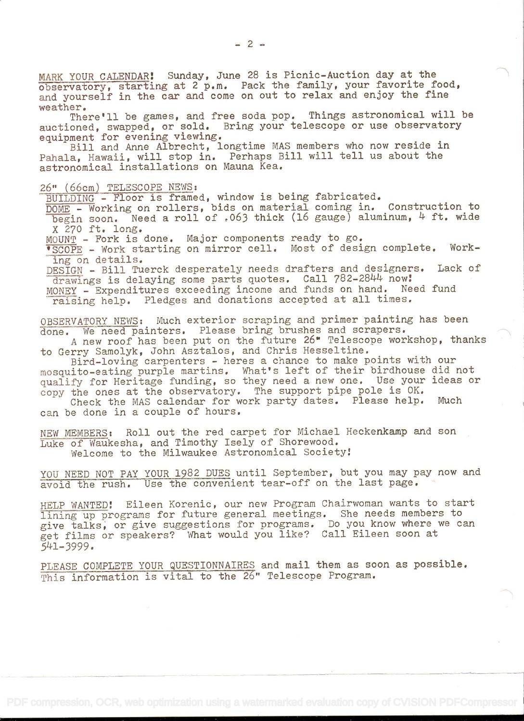MARK YOUR CALENDAR! Sunday, June 28 is Picnic-Auction day at the observatory, starting at 2 p.m. Pack the family, your favorite food, and yourself in the car and come on out to relax and enjoy the fine weather.

There'll be games, and free soda pop. Things astronomical will be auctioned, swapped, or sold. Bring your telescope or use observatory equipment for evening viewing.

Bill and Anne Albrecht, longtime MAS members who now reside in Pahala, Hawaii, will stop in. Perhaps Bill will tell us about the astronomical installations on Mauna Kea.

## 26" (66cm) TELESCOPE NEWS:

BUILDING - Floor is framed, window is being fabricated.

DOME - Working on rollers, bids on material coming in. Construction to begin soon. Need a roll of .063 thick (16 gauge) aluminum,  $4$  ft. wide X 270 ft. long.

MOUNT - Fork is done. Major components ready to go.

'SCOPE - Work starting on mirror cell. Most of design complete. Working on details.

DESIGN - Bill Tuerck desperately needs drafters and designers. Lack of drawings is delaying some parts quotes. Call 782-2844 now!

MONEY - Expenditures exceeding income and funds on hand. Need fund raising help. Pledges and donations accepted at all times.

OBSERVATORY NEWS: Much exterior scraping and primer painting has been done. We need painters. Please bring brushes and scrapers.

A new roof has been put on the future 26" Telescope workshop, thanks to Gerry Samolyk, John Asztalos, and Chris Hesseltine.

Bird-loving carpenters - heres a chance to make points with our mosquito-eating purple martins. What's left of their birdhouse did not qualify for Heritage funding, so they need a new one. Use your ideas or copy the ones at the observatory. The support pipe pole is OK.<br>Check the MAS calendar for work party dates. Please help. Much

Check the MAS calendar for work party dates. Please help. can be done in a couple of hours.

NEW MEMBERS: Roll out the red carpet for Michael Heckenkamp and son Luke of Waukesha, and Timothy Isely of Shorewood. Welcome to the Milwaukee Astronomical Society:

YOU NEED NOT PAY YOUR 1982 DUES until September, but you may pay now and avoid the rush. Use the convenient tear-off on the last page.

HELP WANTED! Eileen Korenic, our new Program Chairwoman wants to start lining up programs for future general meetings. She needs members to give talks, or give suggestions for programs. Do you know where we can get films or speakers? What would you like? Call Eileen soon at 541-3999.

PLEASE COMPLETE YOUR QUESTIONNAIRES and mail them as soon as possible. This information is vital to the 26" Telescope Program.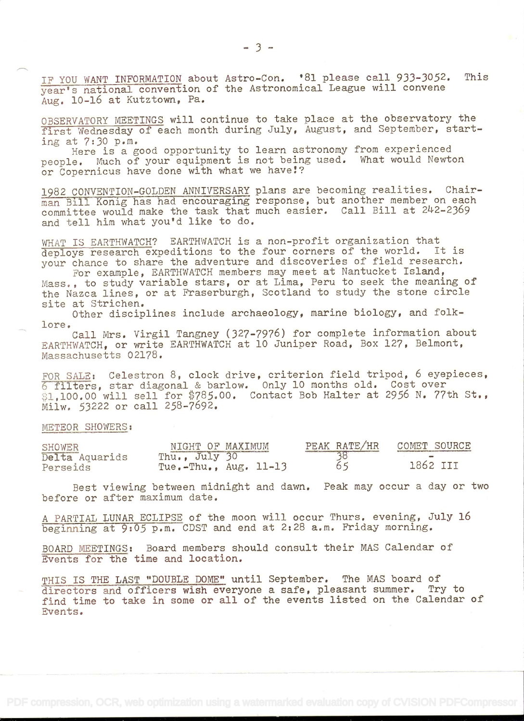IF YOU WANT INFORMATION about Astro-Con. '81 please call 933-3052. This year's national convention of the Astronomical League will convene Aug. 10-16 at Kutztown, Pa.

OBSERVATORY MEETINGS will continue to take place at the observatory the first Wednesday of each month during July, August, and September, start-Ing at 7:30 p.m.

Here is a good opportunity to learn astronomy from experienced people. Much of your equipment is not being used. What would Newton or Copernicus have done with what we have!?

1982 CONVENTION-GOLDEN ANNIVERSARY plans are becoming realities. Chairman Bill Konig has had encouraging response, but another member on each committee would make the task that much easier. Call Bill at 242-2369 and tell him what you'd like to do.

WHAT IS EARTHWATCH? EARTHWATCH is a non-profit organization that<br>deploys research expeditions to the four corners of the world. It is deploys research expeditions to the four corners of the world. your chance to share the adventure and discoveries of field research. For example, EARTHWATCH members may meet at Nantucket Island,

Mass., to study variable stars, or at Lima, Peru to seek the meaning of the Nazca lines, or at Fraserburgh, Scotland to study the stone circle site at Strichen.

Other disciplines include archaeology, marine biology, and folk lore.

Call Mrs. Virgil Tangney (327-7976) for complete information about EARTHWATCH, or write EARTHWATCH at 10 Juniper Road, Box 127, Belmont, Massachusetts 02178.

FOR SALE: Celestron 8, clock drive, criterion field tripod, 6 eyepieces, 6 filters, star diagonal & barlow. Only 10 months old. Cost over \$1,100.00 will sell for \$785.00. Contact Bob Halter at 2956 N. 77th St., Milw. 53222 or call 258-7692,

## METEOR SHOWERS:

| <b>SHOWER</b>  | NIGHT OF MAXIMUM            | PEAK RATE/HR | COMET SOURCE |
|----------------|-----------------------------|--------------|--------------|
| Delta Aquarids | Thu., July 30               |              |              |
| Perseids       | Tue. $-$ Thu., Aug. $11-13$ |              | 1862 III     |

Best viewing between midnight and dawn. Peak may occur a day or two before or after maximum date.

A PARTIAL LUNAR ECLIPSE of the moon will occur Thurs, evening, July 16 beginning at 9:05 p.m. CDST and end at 2:28 a.m. Friday morning.

BOARD MEETINGS: Board members should consult their MAS Calendar of Events for the time and location.

THIS IS THE LAST "DOUBLE DOME" until September. The MAS board of directors and officers wish everyone a safe, pleasant summer. Try to directors and officers wish everyone a safe, pleasant summer. find time to take in some or all of the events listed on the Calendar of Events.